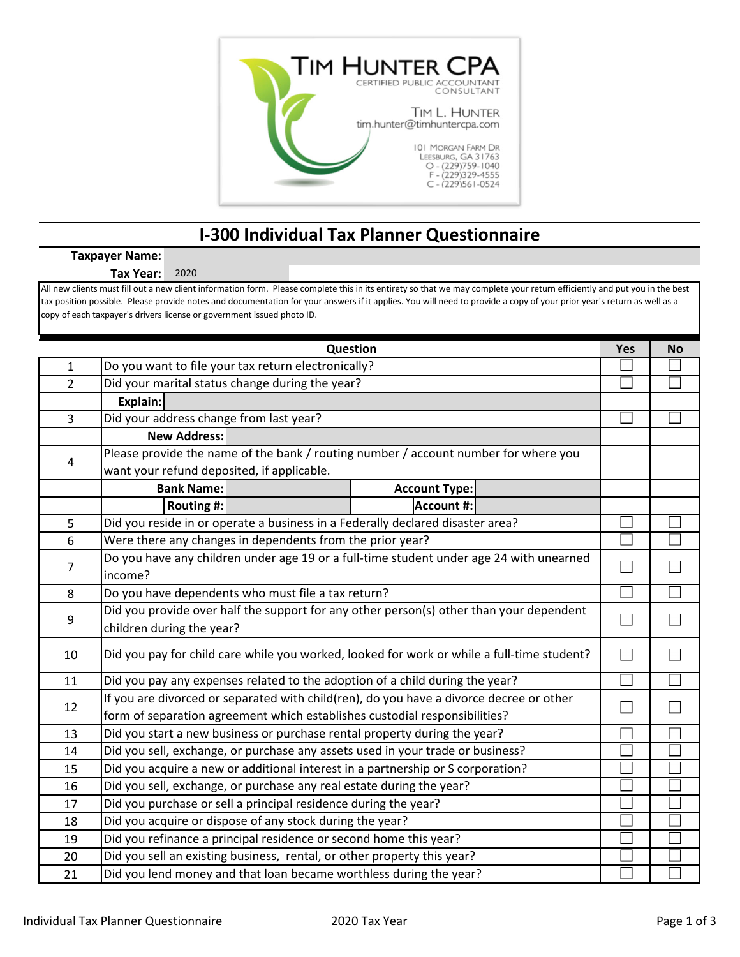

## **I‐300 Individual Tax Planner Questionnaire**

## **Taxpayer Name:**

**Tax Year:** 2020

All new clients must fill out a new client information form. Please complete this in its entirety so that we may complete your return efficiently and put you in the best tax position possible. Please provide notes and documentation for your answers if it applies. You will need to provide a copy of your prior year's return as well as a copy of each taxpayer's drivers license or government issued photo ID.

| Question       |                                                                                            |  | <b>No</b> |  |  |
|----------------|--------------------------------------------------------------------------------------------|--|-----------|--|--|
| $\mathbf 1$    | Do you want to file your tax return electronically?                                        |  |           |  |  |
| $\overline{2}$ | Did your marital status change during the year?                                            |  |           |  |  |
|                | Explain:                                                                                   |  |           |  |  |
| 3              | Did your address change from last year?                                                    |  |           |  |  |
|                | <b>New Address:</b>                                                                        |  |           |  |  |
| 4              | Please provide the name of the bank / routing number / account number for where you        |  |           |  |  |
|                | want your refund deposited, if applicable.                                                 |  |           |  |  |
|                | <b>Bank Name:</b><br><b>Account Type:</b>                                                  |  |           |  |  |
|                | <b>Account #:</b><br>Routing #:                                                            |  |           |  |  |
| 5              | Did you reside in or operate a business in a Federally declared disaster area?             |  |           |  |  |
| 6              | Were there any changes in dependents from the prior year?                                  |  |           |  |  |
| $\overline{7}$ | Do you have any children under age 19 or a full-time student under age 24 with unearned    |  |           |  |  |
|                | income?                                                                                    |  |           |  |  |
| 8              | Do you have dependents who must file a tax return?                                         |  |           |  |  |
| 9              | Did you provide over half the support for any other person(s) other than your dependent    |  |           |  |  |
|                | children during the year?                                                                  |  |           |  |  |
| 10             | Did you pay for child care while you worked, looked for work or while a full-time student? |  |           |  |  |
|                |                                                                                            |  |           |  |  |
| 11             | Did you pay any expenses related to the adoption of a child during the year?               |  |           |  |  |
| 12             | If you are divorced or separated with child(ren), do you have a divorce decree or other    |  |           |  |  |
|                | form of separation agreement which establishes custodial responsibilities?                 |  |           |  |  |
| 13             | Did you start a new business or purchase rental property during the year?                  |  |           |  |  |
| 14             | Did you sell, exchange, or purchase any assets used in your trade or business?             |  |           |  |  |
| 15             | Did you acquire a new or additional interest in a partnership or S corporation?            |  |           |  |  |
| 16             | Did you sell, exchange, or purchase any real estate during the year?                       |  |           |  |  |
| 17             | Did you purchase or sell a principal residence during the year?                            |  |           |  |  |
| 18             | Did you acquire or dispose of any stock during the year?                                   |  |           |  |  |
| 19             | Did you refinance a principal residence or second home this year?                          |  |           |  |  |
| 20             | Did you sell an existing business, rental, or other property this year?                    |  |           |  |  |
| 21             | Did you lend money and that loan became worthless during the year?                         |  |           |  |  |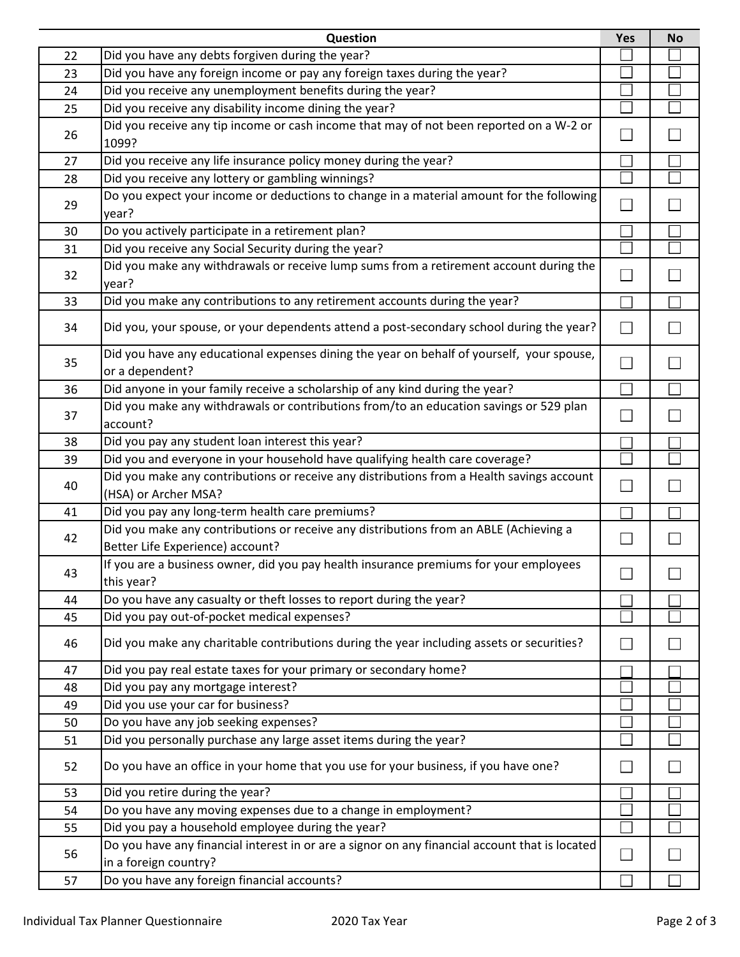|    | Question                                                                                                                  | <b>Yes</b> | <b>No</b> |
|----|---------------------------------------------------------------------------------------------------------------------------|------------|-----------|
| 22 | Did you have any debts forgiven during the year?                                                                          |            |           |
| 23 | Did you have any foreign income or pay any foreign taxes during the year?                                                 |            |           |
| 24 | Did you receive any unemployment benefits during the year?                                                                |            |           |
| 25 | Did you receive any disability income dining the year?                                                                    |            |           |
| 26 | Did you receive any tip income or cash income that may of not been reported on a W-2 or<br>1099?                          |            |           |
| 27 | Did you receive any life insurance policy money during the year?                                                          |            |           |
| 28 | Did you receive any lottery or gambling winnings?                                                                         |            |           |
| 29 | Do you expect your income or deductions to change in a material amount for the following<br>year?                         |            |           |
| 30 | Do you actively participate in a retirement plan?                                                                         |            |           |
| 31 | Did you receive any Social Security during the year?                                                                      |            |           |
| 32 | Did you make any withdrawals or receive lump sums from a retirement account during the<br>year?                           |            |           |
| 33 | Did you make any contributions to any retirement accounts during the year?                                                |            |           |
| 34 | Did you, your spouse, or your dependents attend a post-secondary school during the year?                                  |            |           |
| 35 | Did you have any educational expenses dining the year on behalf of yourself, your spouse,<br>or a dependent?              |            |           |
| 36 | Did anyone in your family receive a scholarship of any kind during the year?                                              |            |           |
| 37 | Did you make any withdrawals or contributions from/to an education savings or 529 plan<br>account?                        |            |           |
| 38 | Did you pay any student loan interest this year?                                                                          |            |           |
| 39 | Did you and everyone in your household have qualifying health care coverage?                                              |            |           |
| 40 | Did you make any contributions or receive any distributions from a Health savings account<br>(HSA) or Archer MSA?         |            |           |
| 41 | Did you pay any long-term health care premiums?                                                                           |            |           |
| 42 | Did you make any contributions or receive any distributions from an ABLE (Achieving a<br>Better Life Experience) account? |            |           |
| 43 | If you are a business owner, did you pay health insurance premiums for your employees<br>this year?                       | □          |           |
| 44 | Do you have any casualty or theft losses to report during the year?                                                       |            |           |
| 45 | Did you pay out-of-pocket medical expenses?                                                                               |            |           |
| 46 | Did you make any charitable contributions during the year including assets or securities?                                 |            |           |
| 47 | Did you pay real estate taxes for your primary or secondary home?                                                         |            |           |
| 48 | Did you pay any mortgage interest?                                                                                        |            |           |
| 49 | Did you use your car for business?                                                                                        |            |           |
| 50 | Do you have any job seeking expenses?                                                                                     |            |           |
| 51 | Did you personally purchase any large asset items during the year?                                                        |            |           |
| 52 | Do you have an office in your home that you use for your business, if you have one?                                       |            |           |
| 53 | Did you retire during the year?                                                                                           |            |           |
| 54 | Do you have any moving expenses due to a change in employment?                                                            |            |           |
| 55 | Did you pay a household employee during the year?                                                                         |            |           |
| 56 | Do you have any financial interest in or are a signor on any financial account that is located<br>in a foreign country?   |            |           |
| 57 | Do you have any foreign financial accounts?                                                                               |            |           |